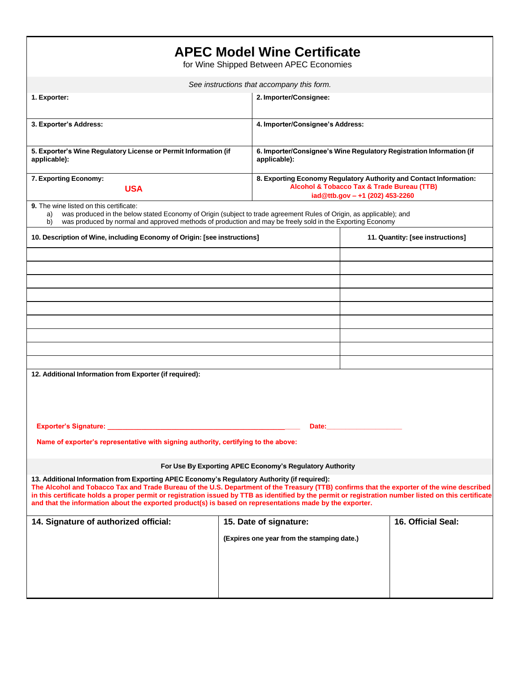| <b>APEC Model Wine Certificate</b><br>for Wine Shipped Between APEC Economies                                                                                                                                                                                                                                                                                                                                                                                                                                   |  |                                                                                                                                                     |                                  |                    |
|-----------------------------------------------------------------------------------------------------------------------------------------------------------------------------------------------------------------------------------------------------------------------------------------------------------------------------------------------------------------------------------------------------------------------------------------------------------------------------------------------------------------|--|-----------------------------------------------------------------------------------------------------------------------------------------------------|----------------------------------|--------------------|
| See instructions that accompany this form.                                                                                                                                                                                                                                                                                                                                                                                                                                                                      |  |                                                                                                                                                     |                                  |                    |
| 1. Exporter:                                                                                                                                                                                                                                                                                                                                                                                                                                                                                                    |  | 2. Importer/Consignee:                                                                                                                              |                                  |                    |
| 3. Exporter's Address:                                                                                                                                                                                                                                                                                                                                                                                                                                                                                          |  | 4. Importer/Consignee's Address:                                                                                                                    |                                  |                    |
| 5. Exporter's Wine Regulatory License or Permit Information (if<br>applicable):                                                                                                                                                                                                                                                                                                                                                                                                                                 |  | 6. Importer/Consignee's Wine Regulatory Registration Information (if<br>applicable):                                                                |                                  |                    |
| 7. Exporting Economy:<br><b>USA</b>                                                                                                                                                                                                                                                                                                                                                                                                                                                                             |  | 8. Exporting Economy Regulatory Authority and Contact Information:<br>Alcohol & Tobacco Tax & Trade Bureau (TTB)<br>iad@ttb.gov - +1 (202) 453-2260 |                                  |                    |
| 9. The wine listed on this certificate:<br>was produced in the below stated Economy of Origin (subject to trade agreement Rules of Origin, as applicable); and<br>a)<br>was produced by normal and approved methods of production and may be freely sold in the Exporting Economy<br>b)                                                                                                                                                                                                                         |  |                                                                                                                                                     |                                  |                    |
| 10. Description of Wine, including Economy of Origin: [see instructions]                                                                                                                                                                                                                                                                                                                                                                                                                                        |  |                                                                                                                                                     | 11. Quantity: [see instructions] |                    |
|                                                                                                                                                                                                                                                                                                                                                                                                                                                                                                                 |  |                                                                                                                                                     |                                  |                    |
|                                                                                                                                                                                                                                                                                                                                                                                                                                                                                                                 |  |                                                                                                                                                     |                                  |                    |
|                                                                                                                                                                                                                                                                                                                                                                                                                                                                                                                 |  |                                                                                                                                                     |                                  |                    |
|                                                                                                                                                                                                                                                                                                                                                                                                                                                                                                                 |  |                                                                                                                                                     |                                  |                    |
|                                                                                                                                                                                                                                                                                                                                                                                                                                                                                                                 |  |                                                                                                                                                     |                                  |                    |
|                                                                                                                                                                                                                                                                                                                                                                                                                                                                                                                 |  |                                                                                                                                                     |                                  |                    |
|                                                                                                                                                                                                                                                                                                                                                                                                                                                                                                                 |  |                                                                                                                                                     |                                  |                    |
| 12. Additional Information from Exporter (if required):                                                                                                                                                                                                                                                                                                                                                                                                                                                         |  |                                                                                                                                                     |                                  |                    |
|                                                                                                                                                                                                                                                                                                                                                                                                                                                                                                                 |  |                                                                                                                                                     |                                  |                    |
| Exporter's Signature:<br>Date:                                                                                                                                                                                                                                                                                                                                                                                                                                                                                  |  |                                                                                                                                                     |                                  |                    |
| Name of exporter's representative with signing authority, certifying to the above:                                                                                                                                                                                                                                                                                                                                                                                                                              |  |                                                                                                                                                     |                                  |                    |
| For Use By Exporting APEC Economy's Regulatory Authority                                                                                                                                                                                                                                                                                                                                                                                                                                                        |  |                                                                                                                                                     |                                  |                    |
| 13. Additional Information from Exporting APEC Economy's Regulatory Authority (if required):<br>The Alcohol and Tobacco Tax and Trade Bureau of the U.S. Department of the Treasury (TTB) confirms that the exporter of the wine described<br>in this certificate holds a proper permit or registration issued by TTB as identified by the permit or registration number listed on this certificate<br>and that the information about the exported product(s) is based on representations made by the exporter. |  |                                                                                                                                                     |                                  |                    |
| 14. Signature of authorized official:                                                                                                                                                                                                                                                                                                                                                                                                                                                                           |  | 15. Date of signature:                                                                                                                              |                                  | 16. Official Seal: |
|                                                                                                                                                                                                                                                                                                                                                                                                                                                                                                                 |  | (Expires one year from the stamping date.)                                                                                                          |                                  |                    |
|                                                                                                                                                                                                                                                                                                                                                                                                                                                                                                                 |  |                                                                                                                                                     |                                  |                    |
|                                                                                                                                                                                                                                                                                                                                                                                                                                                                                                                 |  |                                                                                                                                                     |                                  |                    |